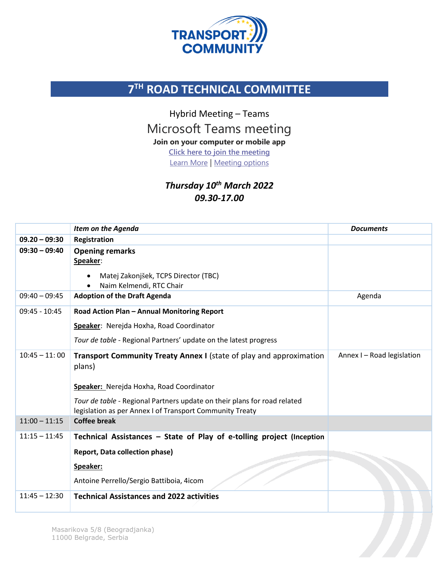

## **7 TH ROAD TECHNICAL COMMITTEE**

Hybrid Meeting – Teams

Microsoft Teams meeting

**Join on your computer or mobile app**

**[Click here to join the meeting](https://teams.microsoft.com/l/meetup-join/19%3ameeting_MjhhZDJiOTYtYjhjOS00ZTVlLTllZjEtNzQ0MzNiMGY5OGVk%40thread.v2/0?context=%7b%22Tid%22%3a%224b7e379f-0665-4460-a253-93854ca4aa13%22%2c%22Oid%22%3a%22fab2fd2e-81fe-42c7-883d-9b1b1c309e5b%22%7d)**

[Learn More](https://aka.ms/JoinTeamsMeeting) | [Meeting options](https://teams.microsoft.com/meetingOptions/?organizerId=fab2fd2e-81fe-42c7-883d-9b1b1c309e5b&tenantId=4b7e379f-0665-4460-a253-93854ca4aa13&threadId=19_meeting_MjhhZDJiOTYtYjhjOS00ZTVlLTllZjEtNzQ0MzNiMGY5OGVk@thread.v2&messageId=0&language=en-US)

*Thursday 10th March 2022 09.30-17.00*

|                 | <b>Item on the Agenda</b>                                                                                                                                                                                                                                                | <b>Documents</b>           |
|-----------------|--------------------------------------------------------------------------------------------------------------------------------------------------------------------------------------------------------------------------------------------------------------------------|----------------------------|
| $09.20 - 09:30$ | Registration                                                                                                                                                                                                                                                             |                            |
| $09:30 - 09:40$ | <b>Opening remarks</b><br>Speaker:<br>Matej Zakonjšek, TCPS Director (TBC)<br>$\bullet$<br>Naim Kelmendi, RTC Chair<br>$\bullet$                                                                                                                                         |                            |
| $09:40 - 09:45$ | <b>Adoption of the Draft Agenda</b>                                                                                                                                                                                                                                      | Agenda                     |
| $09:45 - 10:45$ | Road Action Plan - Annual Monitoring Report<br>Speaker: Nerejda Hoxha, Road Coordinator<br>Tour de table - Regional Partners' update on the latest progress                                                                                                              |                            |
| $10:45 - 11:00$ | <b>Transport Community Treaty Annex I</b> (state of play and approximation<br>plans)<br>Speaker: Nerejda Hoxha, Road Coordinator<br>Tour de table - Regional Partners update on their plans for road related<br>legislation as per Annex I of Transport Community Treaty | Annex I - Road legislation |
| $11:00 - 11:15$ | <b>Coffee break</b>                                                                                                                                                                                                                                                      |                            |
| $11:15 - 11:45$ | Technical Assistances - State of Play of e-tolling project (Inception<br><b>Report, Data collection phase)</b><br>Speaker:<br>Antoine Perrello/Sergio Battiboia, 4icom                                                                                                   |                            |
| $11:45 - 12:30$ | <b>Technical Assistances and 2022 activities</b>                                                                                                                                                                                                                         |                            |